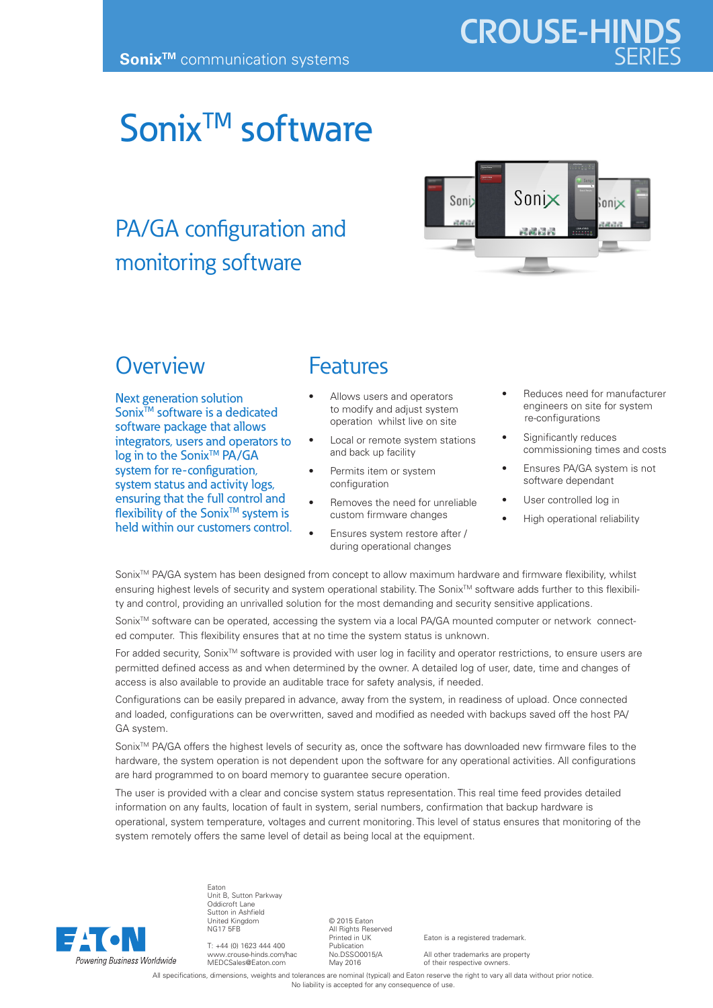## Sonix<sup>TM</sup> software

## PA/GA configuration and monitoring software



## **Overview**

Next generation solution Sonix<sup>™</sup> software is a dedicated software package that allows integrators, users and operators to log in to the Sonix<sup>™</sup> PA/GA system for re-configuration, system status and activity logs, ensuring that the full control and flexibility of the Sonix<sup>™</sup> system is held within our customers control.

## Features

- Allows users and operators to modify and adjust system operation whilst live on site
- Local or remote system stations and back up facility
- Permits item or system configuration
- Removes the need for unreliable custom firmware changes
- Ensures system restore after / during operational changes
- Reduces need for manufacturer engineers on site for system re-configurations
- Significantly reduces commissioning times and costs
- Ensures PA/GA system is not software dependant
- User controlled log in
- High operational reliability

Sonix<sup>™</sup> PA/GA system has been designed from concept to allow maximum hardware and firmware flexibility, whilst ensuring highest levels of security and system operational stability. The Sonix<sup>TM</sup> software adds further to this flexibility and control, providing an unrivalled solution for the most demanding and security sensitive applications.

Sonix™ software can be operated, accessing the system via a local PA/GA mounted computer or network connected computer. This flexibility ensures that at no time the system status is unknown.

For added security, Sonix™ software is provided with user log in facility and operator restrictions, to ensure users are permitted defined access as and when determined by the owner. A detailed log of user, date, time and changes of access is also available to provide an auditable trace for safety analysis, if needed.

Configurations can be easily prepared in advance, away from the system, in readiness of upload. Once connected and loaded, configurations can be overwritten, saved and modified as needed with backups saved off the host PA/ GA system.

Sonix™ PA/GA offers the highest levels of security as, once the software has downloaded new firmware files to the hardware, the system operation is not dependent upon the software for any operational activities. All configurations are hard programmed to on board memory to guarantee secure operation.

The user is provided with a clear and concise system status representation. This real time feed provides detailed information on any faults, location of fault in system, serial numbers, confirmation that backup hardware is operational, system temperature, voltages and current monitoring. This level of status ensures that monitoring of the system remotely offers the same level of detail as being local at the equipment.



Eaton Unit B, Sutton Parkway Oddicroft Lane Sutton in Ashfield United Kingdom NG17 5FB

T: +44 (0) 1623 444 400 www.crouse-hinds.com/hac MEDCSales@Eaton.com

© 2015 Eaton All Rights Reserved Printed in UK Publication No.DSSO0015/A May 2016

Eaton is a registered trademark.

All other trademarks are property of their respective owners.

All specifications, dimensions, weights and tolerances are nominal (typical) and Eaton reserve the right to vary all data without prior notice. No liability is accepted for any consequence of use.